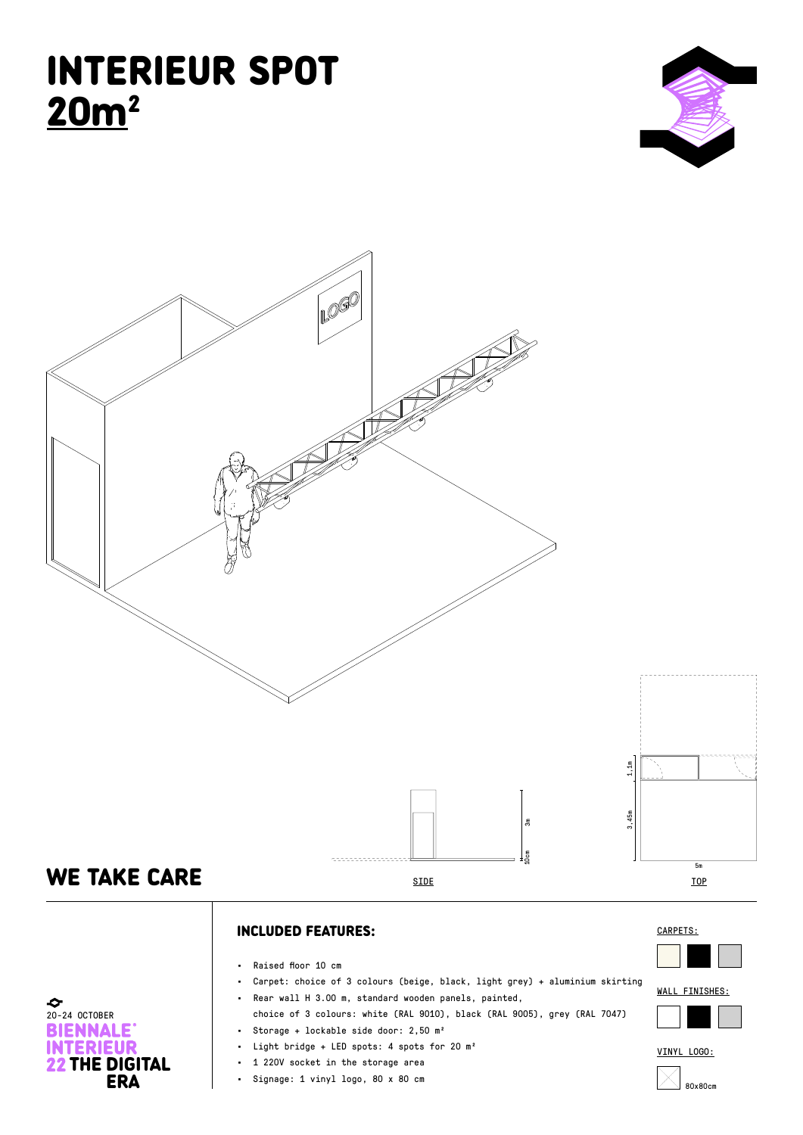## INTERIEUR SPOT 20m2





## INCLUDED FEATURES:

• Raised floor 10 cm

 $\bullet$ <br>20-24 OCTOBER

**BIENNALE INTERIEUR** 

**22 THE DIGITAL**<br>ERA

- Carpet: choice of 3 colours (beige, black, light grey) + aluminium skirting
- Rear wall H 3.00 m, standard wooden panels, painted,
- choice of 3 colours: white (RAL 9010), black (RAL 9005), grey (RAL 7047) • Storage + lockable side door: 2,50 m²
- 
- Light bridge + LED spots: 4 spots for 20 m²
- 1 220V socket in the storage area
- Signage: 1 vinyl logo, 80 x 80 cm





FINISHES:



VINYL LOGO: